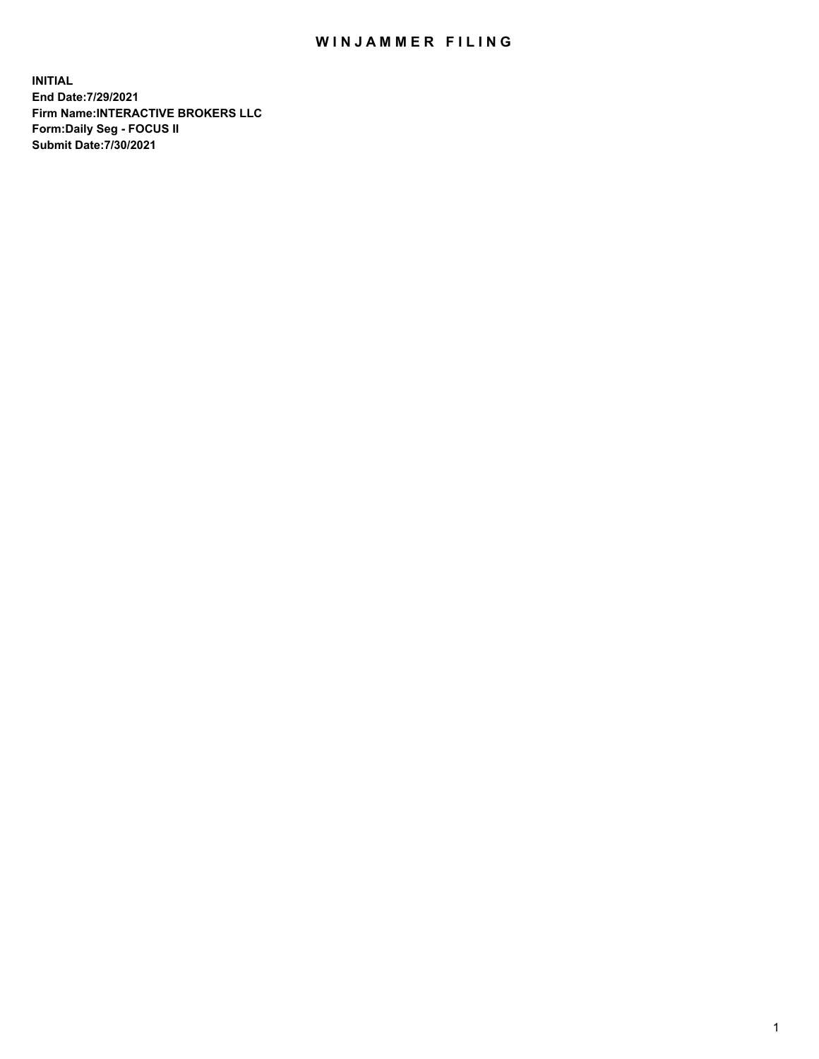## WIN JAMMER FILING

**INITIAL End Date:7/29/2021 Firm Name:INTERACTIVE BROKERS LLC Form:Daily Seg - FOCUS II Submit Date:7/30/2021**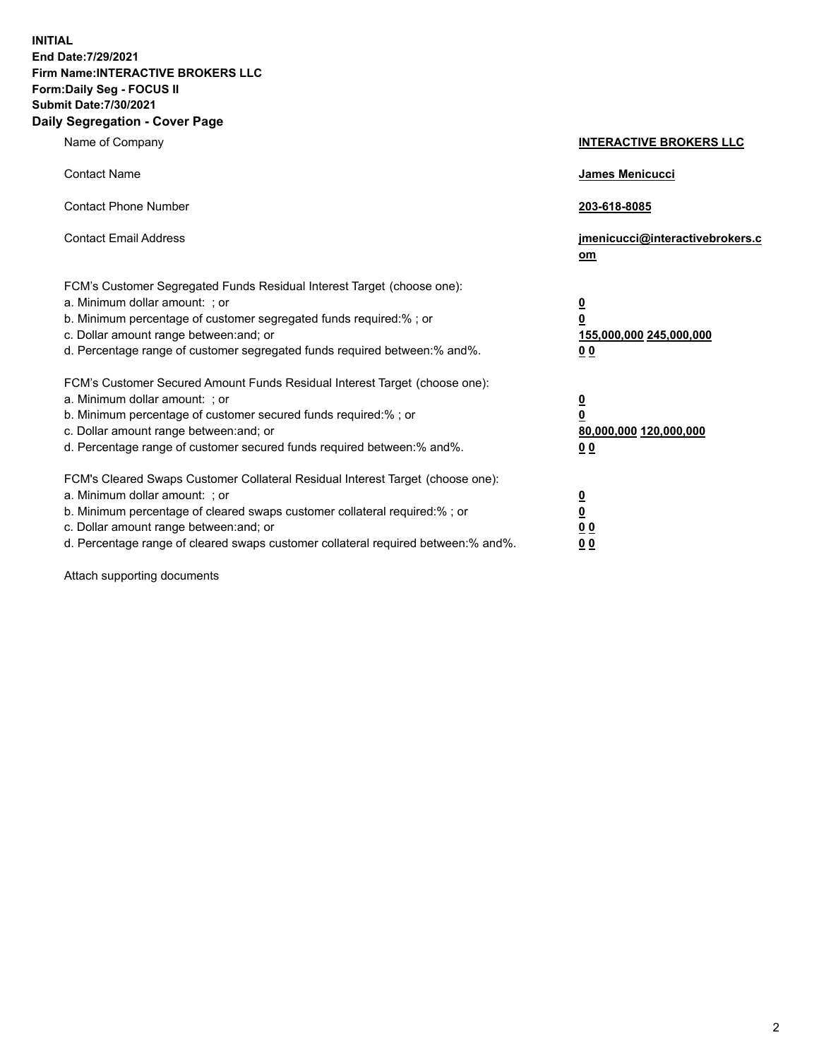**INITIAL End Date:7/29/2021 Firm Name:INTERACTIVE BROKERS LLC Form:Daily Seg - FOCUS II Submit Date:7/30/2021 Daily Segregation - Cover Page**

| Name of Company                                                                                                                                                                                                                                                                                                                | <b>INTERACTIVE BROKERS LLC</b>                                                                  |  |
|--------------------------------------------------------------------------------------------------------------------------------------------------------------------------------------------------------------------------------------------------------------------------------------------------------------------------------|-------------------------------------------------------------------------------------------------|--|
| <b>Contact Name</b>                                                                                                                                                                                                                                                                                                            | James Menicucci                                                                                 |  |
| <b>Contact Phone Number</b>                                                                                                                                                                                                                                                                                                    | 203-618-8085                                                                                    |  |
| <b>Contact Email Address</b>                                                                                                                                                                                                                                                                                                   | jmenicucci@interactivebrokers.c<br><u>om</u>                                                    |  |
| FCM's Customer Segregated Funds Residual Interest Target (choose one):<br>a. Minimum dollar amount: ; or<br>b. Minimum percentage of customer segregated funds required:% ; or<br>c. Dollar amount range between: and; or<br>d. Percentage range of customer segregated funds required between:% and%.                         | $\overline{\mathbf{0}}$<br>$\overline{\mathbf{0}}$<br>155,000,000 245,000,000<br>0 <sub>0</sub> |  |
| FCM's Customer Secured Amount Funds Residual Interest Target (choose one):<br>a. Minimum dollar amount: ; or<br>b. Minimum percentage of customer secured funds required:% ; or<br>c. Dollar amount range between: and; or<br>d. Percentage range of customer secured funds required between:% and%.                           | $\overline{\mathbf{0}}$<br>$\overline{\mathbf{0}}$<br>80,000,000 120,000,000<br>0 <sub>0</sub>  |  |
| FCM's Cleared Swaps Customer Collateral Residual Interest Target (choose one):<br>a. Minimum dollar amount: ; or<br>b. Minimum percentage of cleared swaps customer collateral required:% ; or<br>c. Dollar amount range between: and; or<br>d. Percentage range of cleared swaps customer collateral required between:% and%. | $\overline{\mathbf{0}}$<br>$\overline{\mathbf{0}}$<br>0 <sub>0</sub><br>0 <sub>0</sub>          |  |

Attach supporting documents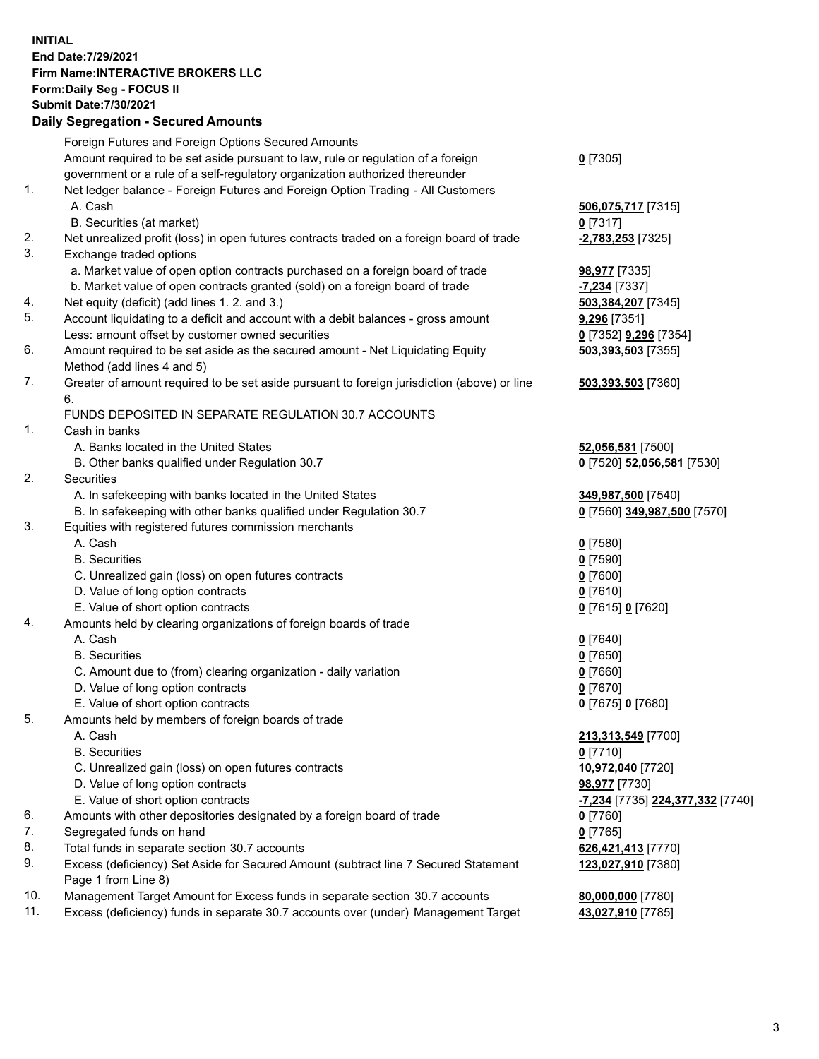**INITIAL End Date:7/29/2021 Firm Name:INTERACTIVE BROKERS LLC Form:Daily Seg - FOCUS II Submit Date:7/30/2021 Daily Segregation - Secured Amounts**

## Foreign Futures and Foreign Options Secured Amounts Amount required to be set aside pursuant to law, rule or regulation of a foreign government or a rule of a self-regulatory organization authorized thereunder **0** [7305] 1. Net ledger balance - Foreign Futures and Foreign Option Trading - All Customers A. Cash **506,075,717** [7315] B. Securities (at market) **0** [7317] 2. Net unrealized profit (loss) in open futures contracts traded on a foreign board of trade **-2,783,253** [7325] 3. Exchange traded options a. Market value of open option contracts purchased on a foreign board of trade **98,977** [7335] b. Market value of open contracts granted (sold) on a foreign board of trade **-7,234** [7337] 4. Net equity (deficit) (add lines 1. 2. and 3.) **503,384,207** [7345] 5. Account liquidating to a deficit and account with a debit balances - gross amount **9,296** [7351] Less: amount offset by customer owned securities **0** [7352] **9,296** [7354] 6. Amount required to be set aside as the secured amount - Net Liquidating Equity Method (add lines 4 and 5) **503,393,503** [7355] 7. Greater of amount required to be set aside pursuant to foreign jurisdiction (above) or line 6. **503,393,503** [7360] FUNDS DEPOSITED IN SEPARATE REGULATION 30.7 ACCOUNTS 1. Cash in banks A. Banks located in the United States **52,056,581** [7500] B. Other banks qualified under Regulation 30.7 **0** [7520] **52,056,581** [7530] 2. Securities A. In safekeeping with banks located in the United States **349,987,500** [7540] B. In safekeeping with other banks qualified under Regulation 30.7 **0** [7560] **349,987,500** [7570] 3. Equities with registered futures commission merchants A. Cash **0** [7580] B. Securities **0** [7590] C. Unrealized gain (loss) on open futures contracts **0** [7600] D. Value of long option contracts **0** [7610] E. Value of short option contracts **0** [7615] **0** [7620] 4. Amounts held by clearing organizations of foreign boards of trade A. Cash **0** [7640] B. Securities **0** [7650] C. Amount due to (from) clearing organization - daily variation **0** [7660] D. Value of long option contracts **0** [7670] E. Value of short option contracts **0** [7675] **0** [7680] 5. Amounts held by members of foreign boards of trade A. Cash **213,313,549** [7700] B. Securities **0** [7710] C. Unrealized gain (loss) on open futures contracts **10,972,040** [7720] D. Value of long option contracts **98,977** [7730] E. Value of short option contracts **-7,234** [7735] **224,377,332** [7740] 6. Amounts with other depositories designated by a foreign board of trade **0** [7760] 7. Segregated funds on hand **0** [7765] 8. Total funds in separate section 30.7 accounts **626,421,413** [7770] 9. Excess (deficiency) Set Aside for Secured Amount (subtract line 7 Secured Statement Page 1 from Line 8) **123,027,910** [7380] 10. Management Target Amount for Excess funds in separate section 30.7 accounts **80,000,000** [7780] 11. Excess (deficiency) funds in separate 30.7 accounts over (under) Management Target **43,027,910** [7785]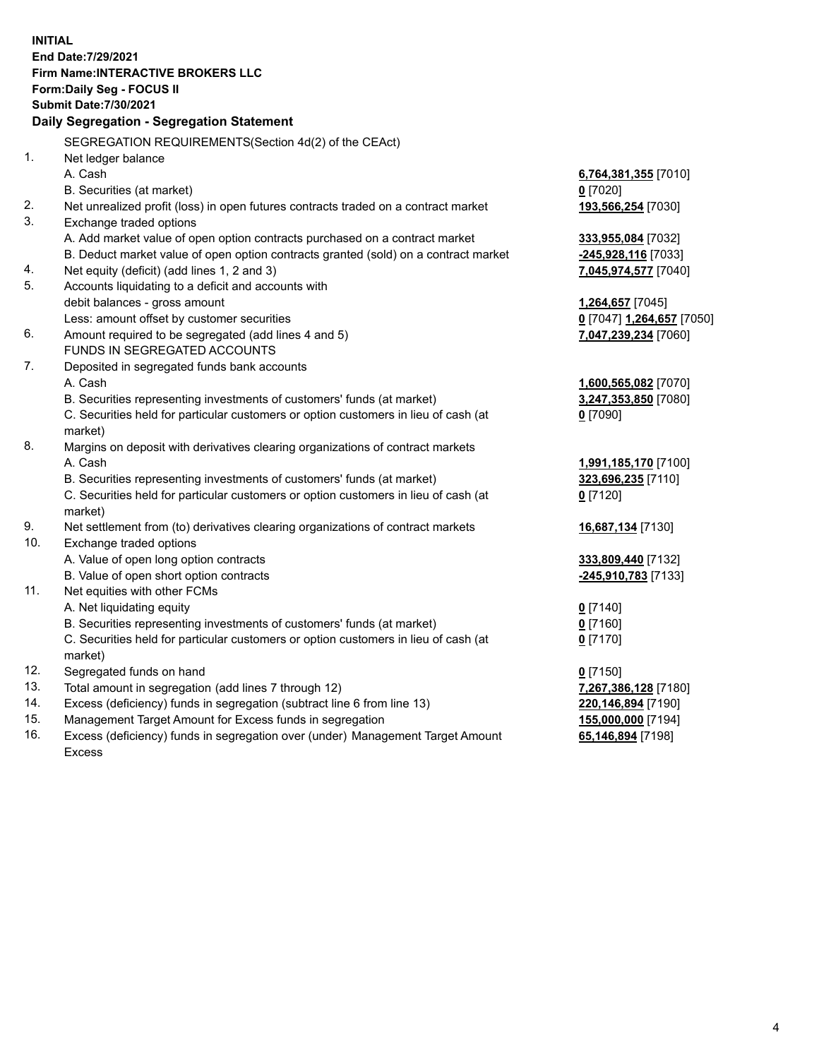**INITIAL End Date:7/29/2021 Firm Name:INTERACTIVE BROKERS LLC Form:Daily Seg - FOCUS II Submit Date:7/30/2021 Daily Segregation - Segregation Statement** SEGREGATION REQUIREMENTS(Section 4d(2) of the CEAct) 1. Net ledger balance A. Cash **6,764,381,355** [7010] B. Securities (at market) **0** [7020] 2. Net unrealized profit (loss) in open futures contracts traded on a contract market **193,566,254** [7030] 3. Exchange traded options A. Add market value of open option contracts purchased on a contract market **333,955,084** [7032] B. Deduct market value of open option contracts granted (sold) on a contract market **-245,928,116** [7033] 4. Net equity (deficit) (add lines 1, 2 and 3) **7,045,974,577** [7040] 5. Accounts liquidating to a deficit and accounts with debit balances - gross amount **1,264,657** [7045] Less: amount offset by customer securities **0** [7047] **1,264,657** [7050] 6. Amount required to be segregated (add lines 4 and 5) **7,047,239,234** [7060] FUNDS IN SEGREGATED ACCOUNTS 7. Deposited in segregated funds bank accounts A. Cash **1,600,565,082** [7070] B. Securities representing investments of customers' funds (at market) **3,247,353,850** [7080] C. Securities held for particular customers or option customers in lieu of cash (at market) **0** [7090] 8. Margins on deposit with derivatives clearing organizations of contract markets A. Cash **1,991,185,170** [7100] B. Securities representing investments of customers' funds (at market) **323,696,235** [7110] C. Securities held for particular customers or option customers in lieu of cash (at market) **0** [7120] 9. Net settlement from (to) derivatives clearing organizations of contract markets **16,687,134** [7130] 10. Exchange traded options A. Value of open long option contracts **333,809,440** [7132] B. Value of open short option contracts **-245,910,783** [7133] 11. Net equities with other FCMs A. Net liquidating equity **0** [7140] B. Securities representing investments of customers' funds (at market) **0** [7160] C. Securities held for particular customers or option customers in lieu of cash (at market) **0** [7170] 12. Segregated funds on hand **0** [7150] 13. Total amount in segregation (add lines 7 through 12) **7,267,386,128** [7180] 14. Excess (deficiency) funds in segregation (subtract line 6 from line 13) **220,146,894** [7190] 15. Management Target Amount for Excess funds in segregation **155,000,000** [7194] **65,146,894** [7198]

16. Excess (deficiency) funds in segregation over (under) Management Target Amount Excess